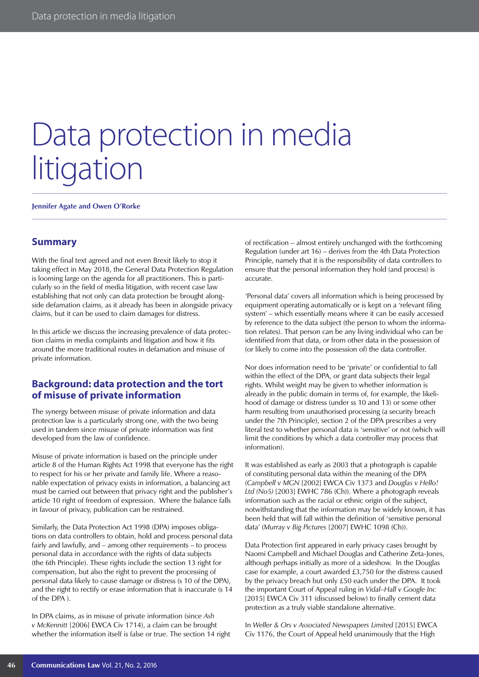# Data protection in media litigation

**Jennifer Agate and Owen O'Rorke**

#### **Summary**

With the final text agreed and not even Brexit likely to stop it taking effect in May 2018, the General Data Protection Regulation is looming large on the agenda for all practitioners. This is particularly so in the field of media litigation, with recent case law establishing that not only can data protection be brought alongside defamation claims, as it already has been in alongside privacy claims, but it can be used to claim damages for distress.

In this article we discuss the increasing prevalence of data protection claims in media complaints and litigation and how it fits around the more traditional routes in defamation and misuse of private information.

#### **Background: data protection and the tort of misuse of private information**

The synergy between misuse of private information and data protection law is a particularly strong one, with the two being used in tandem since misuse of private information was first developed from the law of confidence.

Misuse of private information is based on the principle under article 8 of the Human Rights Act 1998 that everyone has the right to respect for his or her private and family life. Where a reasonable expectation of privacy exists in information, a balancing act must be carried out between that privacy right and the publisher's article 10 right of freedom of expression. Where the balance falls in favour of privacy, publication can be restrained.

Similarly, the Data Protection Act 1998 (DPA) imposes obligations on data controllers to obtain, hold and process personal data fairly and lawfully, and – among other requirements – to process personal data in accordance with the rights of data subjects (the 6th Principle). These rights include the section 13 right for compensation, but also the right to prevent the processing of personal data likely to cause damage or distress (s 10 of the DPA), and the right to rectify or erase information that is inaccurate (s 14 of the DPA ).

In DPA claims, as in misuse of private information (since *Ash v McKennitt* [2006] EWCA Civ 1714), a claim can be brought whether the information itself is false or true. The section 14 right of rectification – almost entirely unchanged with the forthcoming Regulation (under art 16) – derives from the 4th Data Protection Principle, namely that it is the responsibility of data controllers to ensure that the personal information they hold (and process) is accurate.

'Personal data' covers all information which is being processed by equipment operating automatically or is kept on a 'relevant filing system' – which essentially means where it can be easily accessed by reference to the data subject (the person to whom the information relates). That person can be any living individual who can be identified from that data, or from other data in the possession of (or likely to come into the possession of) the data controller.

Nor does information need to be 'private' or confidential to fall within the effect of the DPA, or grant data subjects their legal rights. Whilst weight may be given to whether information is already in the public domain in terms of, for example, the likelihood of damage or distress (under ss 10 and 13) or some other harm resulting from unauthorised processing (a security breach under the 7th Principle), section 2 of the DPA prescribes a very literal test to whether personal data is 'sensitive' or not (which will limit the conditions by which a data controller may process that information).

It was established as early as 2003 that a photograph is capable of constituting personal data within the meaning of the DPA (*Campbell v MGN* [2002] EWCA Civ 1373 and *Douglas v Hello!*  Ltd (No5) [2003] EWHC 786 (Ch)). Where a photograph reveals information such as the racial or ethnic origin of the subject, notwithstanding that the information may be widely known, it has been held that will fall within the definition of 'sensitive personal data' (*Murray v Big Pictures* [2007] EWHC 1098 (Ch)).

Data Protection first appeared in early privacy cases brought by Naomi Campbell and Michael Douglas and Catherine Zeta-Jones, although perhaps initially as more of a sideshow. In the Douglas case for example, a court awarded £3,750 for the distress caused by the privacy breach but only £50 each under the DPA. It took the important Court of Appeal ruling in *Vidal–Hall v Google Inc* [2015] EWCA Civ 311 (discussed below) to finally cement data protection as a truly viable standalone alternative.

In *Weller & Ors v Associated Newspapers Limited* [2015] EWCA Civ 1176, the Court of Appeal held unanimously that the High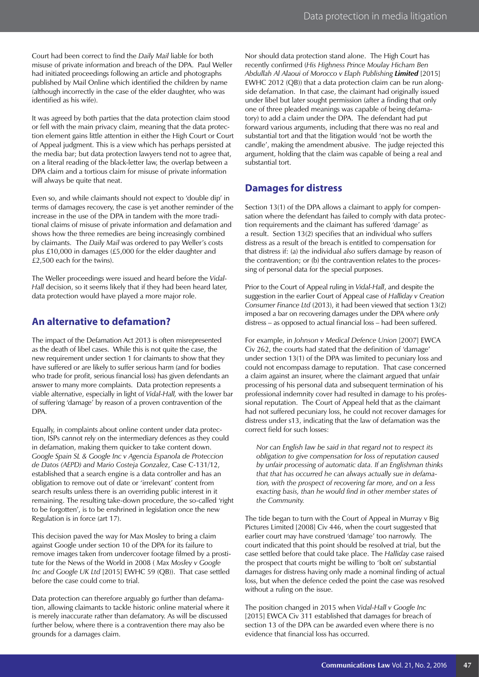Court had been correct to find the *Daily Mail* liable for both misuse of private information and breach of the DPA. Paul Weller had initiated proceedings following an article and photographs published by Mail Online which identified the children by name (although incorrectly in the case of the elder daughter, who was identified as his wife).

It was agreed by both parties that the data protection claim stood or fell with the main privacy claim, meaning that the data protection element gains little attention in either the High Court or Court of Appeal judgment. This is a view which has perhaps persisted at the media bar; but data protection lawyers tend not to agree that, on a literal reading of the black-letter law, the overlap between a DPA claim and a tortious claim for misuse of private information will always be quite that neat.

Even so, and while claimants should not expect to 'double dip' in terms of damages recovery, the case is yet another reminder of the increase in the use of the DPA in tandem with the more traditional claims of misuse of private information and defamation and shows how the three remedies are being increasingly combined by claimants. The *Daily Mail* was ordered to pay Weller's costs plus £10,000 in damages (£5,000 for the elder daughter and £2,500 each for the twins).

The Weller proceedings were issued and heard before the *Vidal-Hall* decision, so it seems likely that if they had been heard later, data protection would have played a more major role.

### **An alternative to defamation?**

The impact of the Defamation Act 2013 is often misrepresented as the death of libel cases. While this is not quite the case, the new requirement under section 1 for claimants to show that they have suffered or are likely to suffer serious harm (and for bodies who trade for profit, serious financial loss) has given defendants an answer to many more complaints. Data protection represents a viable alternative, especially in light of *Vidal-Hall,* with the lower bar of suffering 'damage' by reason of a proven contravention of the DPA.

Equally, in complaints about online content under data protection, ISPs cannot rely on the intermediary defences as they could in defamation, making them quicker to take content down. *Google Spain SL & Google Inc v Agencia Espanola de Proteccion de Datos (AEPD) and Mario Costeja Gonzalez*, Case C-131/12, established that a search engine is a data controller and has an obligation to remove out of date or 'irrelevant' content from search results unless there is an overriding public interest in it remaining. The resulting take-down procedure, the so-called 'right to be forgotten', is to be enshrined in legislation once the new Regulation is in force (art 17).

This decision paved the way for Max Mosley to bring a claim against Google under section 10 of the DPA for its failure to remove images taken from undercover footage filmed by a prostitute for the News of the World in 2008 ( *Max Mosley v Google Inc and Google UK Ltd* [2015] EWHC 59 (QB)). That case settled before the case could come to trial.

Data protection can therefore arguably go further than defamation, allowing claimants to tackle historic online material where it is merely inaccurate rather than defamatory. As will be discussed further below, where there is a contravention there may also be grounds for a damages claim.

Nor should data protection stand alone. The High Court has recently confirmed (*His Highness Prince Moulay Hicham Ben Abdullah Al Alaoui of Morocco v Elaph Publishing Limited* [2015] EWHC 2012 (QB)) that a data protection claim can be run alongside defamation. In that case, the claimant had originally issued under libel but later sought permission (after a finding that only one of three pleaded meanings was capable of being defamatory) to add a claim under the DPA. The defendant had put forward various arguments, including that there was no real and substantial tort and that the litigation would 'not be worth the candle', making the amendment abusive. The judge rejected this argument, holding that the claim was capable of being a real and substantial tort.

## **Damages for distress**

Section 13(1) of the DPA allows a claimant to apply for compensation where the defendant has failed to comply with data protection requirements and the claimant has suffered 'damage' as a result. Section 13(2) specifies that an individual who suffers distress as a result of the breach is entitled to compensation for that distress if: (a) the individual *also* suffers damage by reason of the contravention; or (b) the contravention relates to the processing of personal data for the special purposes.

Prior to the Court of Appeal ruling in *Vidal-Hall*, and despite the suggestion in the earlier Court of Appeal case of *Halliday v Creation Consumer Finance Ltd* (2013), it had been viewed that section 13(2) imposed a bar on recovering damages under the DPA where *only*  distress – as opposed to actual financial loss – had been suffered.

For example, in *Johnson v Medical Defence Union* [2007] EWCA Civ 262, the courts had stated that the definition of 'damage' under section 13(1) of the DPA was limited to pecuniary loss and could not encompass damage to reputation. That case concerned a claim against an insurer, where the claimant argued that unfair processing of his personal data and subsequent termination of his professional indemnity cover had resulted in damage to his professional reputation. The Court of Appeal held that as the claimant had not suffered pecuniary loss, he could not recover damages for distress under s13, indicating that the law of defamation was the correct field for such losses:

*Nor can English law be said in that regard not to respect its obligation to give compensation for loss of reputation caused by unfair processing of automatic data. If an Englishman thinks that that has occurred he can always actually sue in defamation, with the prospect of recovering far more, and on a less exacting basis, than he would find in other member states of the Community.*

The tide began to turn with the Court of Appeal in Murray v Big Pictures Limited [2008] Civ 446, when the court suggested that earlier court may have construed 'damage' too narrowly. The court indicated that this point should be resolved at trial, but the case settled before that could take place. The *Halliday* case raised the prospect that courts might be willing to 'bolt on' substantial damages for distress having only made a nominal finding of actual loss, but when the defence ceded the point the case was resolved without a ruling on the issue.

The position changed in 2015 when *Vidal-Hall v Google Inc* [2015] EWCA Civ 311 established that damages for breach of section 13 of the DPA can be awarded even where there is no evidence that financial loss has occurred.